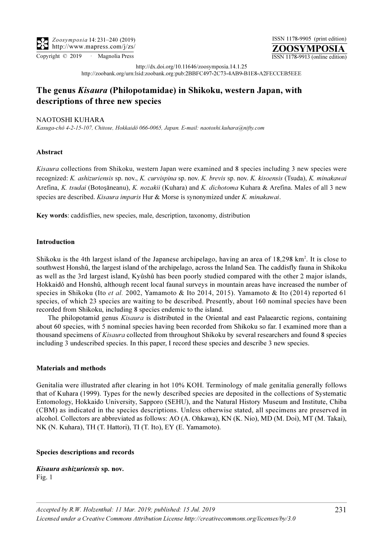Copyright © 2019 · Magnolia Press ISSN 1178-9913 (online edition)

http://dx.doi.org/10.11646/zoosymposia.14.1.25 http://zoobank.org/urn:lsid:zoobank.org:pub:2BBFC497-2C73-4AB9-B1E8-A2FECCEB5EEE

# The genus Kisaura (Philopotamidae) in Shikoku, western Japan, with descriptions of three new species

# NAOTOSHI KUHARA

Kasuga-chô 4-2-15-107, Chitose, Hokkaidô 066-0065, Japan. E-mail: naotoshi.kuhara@nifty.com

# Abstract

Kisaura collections from Shikoku, western Japan were examined and 8 species including 3 new species were recognized: K. ashizuriensis sp. nov., K. curvispina sp. nov. K. brevis sp. nov. K. kisoensis (Tsuda), K. minakawai Arefina, K. tsudai (Botosǎneanu), K. nozakii (Kuhara) and K. dichotoma Kuhara & Arefina. Males of all 3 new species are described. Kisaura imparis Hur & Morse is synonymized under K. minakawai.

Key words: caddisflies, new species, male, description, taxonomy, distribution

## Introduction

Shikoku is the 4th largest island of the Japanese archipelago, having an area of 18,298 km<sup>2</sup>. It is close to southwest Honshû, the largest island of the archipelago, across the Inland Sea. The caddisfly fauna in Shikoku as well as the 3rd largest island, Kyûshû has been poorly studied compared with the other 2 major islands, Hokkaidô and Honshû, although recent local faunal surveys in mountain areas have increased the number of species in Shikoku (Ito et al. 2002, Yamamoto & Ito 2014, 2015). Yamamoto & Ito (2014) reported 61 species, of which 23 species are waiting to be described. Presently, about 160 nominal species have been recorded from Shikoku, including 8 species endemic to the island.

The philopotamid genus *Kisaura* is distributed in the Oriental and east Palaearctic regions, containing about 60 species, with 5 nominal species having been recorded from Shikoku so far. I examined more than a thousand specimens of Kisaura collected from throughout Shikoku by several researchers and found 8 species including 3 undescribed species. In this paper, I record these species and describe 3 new species.

#### Materials and methods

Genitalia were illustrated after clearing in hot 10% KOH. Terminology of male genitalia generally follows that of Kuhara (1999). Types for the newly described species are deposited in the collections of Systematic Entomology, Hokkaido University, Sapporo (SEHU), and the Natural History Museum and Institute, Chiba (CBM) as indicated in the species descriptions. Unless otherwise stated, all specimens are preserved in alcohol. Collectors are abbreviated as follows: AO (A. Ohkawa), KN (K. Nio), MD (M. Doi), MT (M. Takai), NK (N. Kuhara), TH (T. Hattori), TI (T. Ito), EY (E. Yamamoto).

#### Species descriptions and records

Kisaura ashizuriensis sp. nov. Fig. 1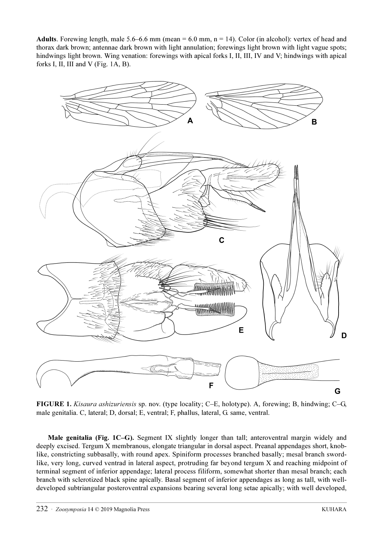Adults. Forewing length, male  $5.6-6.6$  mm (mean  $= 6.0$  mm, n  $= 14$ ). Color (in alcohol): vertex of head and thorax dark brown; antennae dark brown with light annulation; forewings light brown with light vague spots; hindwings light brown. Wing venation: forewings with apical forks I, II, III, IV and V; hindwings with apical forks I, II, III and V (Fig. 1A, B).



FIGURE 1. Kisaura ashizuriensis sp. nov. (type locality; C–E, holotype). A, forewing; B, hindwing; C–G, male genitalia. C, lateral; D, dorsal; E, ventral; F, phallus, lateral, G. same, ventral.

Male genitalia (Fig. 1C–G). Segment IX slightly longer than tall; anteroventral margin widely and deeply excised. Tergum X membranous, elongate triangular in dorsal aspect. Preanal appendages short, knoblike, constricting subbasally, with round apex. Spiniform processes branched basally; mesal branch swordlike, very long, curved ventrad in lateral aspect, protruding far beyond tergum X and reaching midpoint of terminal segment of inferior appendage; lateral process filiform, somewhat shorter than mesal branch; each branch with sclerotized black spine apically. Basal segment of inferior appendages as long as tall, with welldeveloped subtriangular posteroventral expansions bearing several long setae apically; with well developed,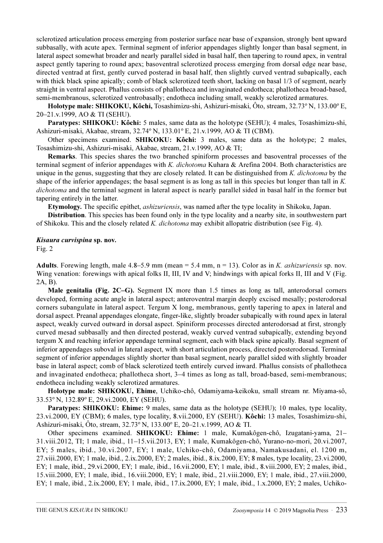sclerotized articulation process emerging from posterior surface near base of expansion, strongly bent upward subbasally, with acute apex. Terminal segment of inferior appendages slightly longer than basal segment, in lateral aspect somewhat broader and nearly parallel sided in basal half, then tapering to round apex, in ventral aspect gently tapering to round apex; basoventral sclerotized process emerging from dorsal edge near base, directed ventrad at first, gently curved posterad in basal half, then slightly curved ventrad subapically, each with thick black spine apically; comb of black sclerotized teeth short, lacking on basal 1/3 of segment, nearly straight in ventral aspect. Phallus consists of phallotheca and invaginated endotheca; phallotheca broad-based, semi-membranous, sclerotized ventrobasally; endotheca including small, weakly sclerotized armatures.

Holotype male: SHIKOKU, Kôchi, Tosashimizu-shi, Ashizuri-misaki, Ôto, stream, 32.73º N, 133.00º E, 20–21.v.1999, AO & TI (SEHU).

Paratypes: SHIKOKU: Kôchi: 5 males, same data as the holotype (SEHU); 4 males, Tosashimizu-shi, Ashizuri-misaki, Akabae, stream, 32.74º N, 133.01º E, 21.v.1999, AO & TI (CBM).

Other specimens examined. SHIKOKU: Kôchi: 3 males, same data as the holotype; 2 males, Tosashimizu-shi, Ashizuri-misaki, Akabae, stream, 21.v.1999, AO & TI;

Remarks. This species shares the two branched spiniform processes and basoventral processes of the terminal segment of inferior appendages with K. dichotoma Kuhara & Arefina 2004. Both characteristics are unique in the genus, suggesting that they are closely related. It can be distinguished from K. dichotoma by the shape of the inferior appendages; the basal segment is as long as tall in this species but longer than tall in K. dichotoma and the terminal segment in lateral aspect is nearly parallel sided in basal half in the former but tapering entirely in the latter.

Etymology. The specific epithet, ashizuriensis, was named after the type locality in Shikoku, Japan.

Distribution. This species has been found only in the type locality and a nearby site, in southwestern part of Shikoku. This and the closely related K. dichotoma may exhibit allopatric distribution (see Fig. 4).

## Kisaura curvispina sp. nov.

Fig. 2

Adults. Forewing length, male  $4.8-5.9$  mm (mean = 5.4 mm, n = 13). Color as in K. *ashizuriensis* sp. nov. Wing venation: forewings with apical folks II, III, IV and V; hindwings with apical forks II, III and V (Fig. 2A, B).

Male genitalia (Fig. 2C–G). Segment IX more than 1.5 times as long as tall, anterodorsal corners developed, forming acute angle in lateral aspect; anteroventral margin deeply excised mesally; posterodorsal corners subangulate in lateral aspect. Tergum X long, membranous, gently tapering to apex in lateral and dorsal aspect. Preanal appendages elongate, finger-like, slightly broader subapically with round apex in lateral aspect, weakly curved outward in dorsal aspect. Spiniform processes directed anterodorsad at first, strongly curved mesad subbasally and then directed posterad, weakly curved ventrad subapically, extending beyond tergum X and reaching inferior appendage terminal segment, each with black spine apically. Basal segment of inferior appendages suboval in lateral aspect, with short articulation process, directed posterodorsad. Terminal segment of inferior appendages slightly shorter than basal segment, nearly parallel sided with slightly broader base in lateral aspect; comb of black sclerotized teeth entirely curved inward. Phallus consists of phallotheca and invaginated endotheca; phallotheca short, 3–4 times as long as tall, broad-based, semi-membranous; endotheca including weakly sclerotized armatures.

Holotype male: SHIKOKU, Ehime, Uchiko-chô, Odamiyama-keikoku, small stream nr. Miyama-sô, 33.53º N, 132.89º E, 29.vi.2000, EY (SEHU).

Paratypes: SHIKOKU: Ehime: 9 males, same data as the holotype (SEHU); 10 males, type locality, 23.vi.2000, EY (CBM); 6 males, type locality, 8.vii.2000, EY (SEHU). Kôchi: 13 males, Tosashimizu-shi, Ashizuri-misaki, Ôto, stream, 32.73º N, 133.00º E, 20–21.v.1999, AO & TI.

Other specimens examined. SHIKOKU: Ehime: 1 male, Kumakôgen-chô, Izugatani-yama, 21– 31.viii.2012, TI; 1 male, ibid., 11–15.vii.2013, EY; 1 male, Kumakôgen-chô, Yurano-no-mori, 20.vi.2007, EY; 5 males, ibid., 30.vi.2007, EY; 1 male, Uchiko-chô, Odamiyama, Namakusadani, el. 1200 m, 27.viii.2000, EY; 1 male, ibid., 2.ix.2000, EY; 2 males, ibid., 8.ix.2000, EY; 8 males, type locality, 23.vi.2000, EY; 1 male, ibid., 29.vi.2000, EY; 1 male, ibid., 16.vii.2000, EY; 1 male, ibid., 8.viii.2000, EY; 2 males, ibid., 15.viii.2000, EY; 1 male, ibid., 16.viii.2000, EY; 1 male, ibid., 21.viii.2000, EY; 1 male, ibid., 27.viii.2000, EY; 1 male, ibid., 2.ix.2000, EY; 1 male, ibid., 17.ix.2000, EY; 1 male, ibid., 1.x.2000, EY; 2 males, Uchiko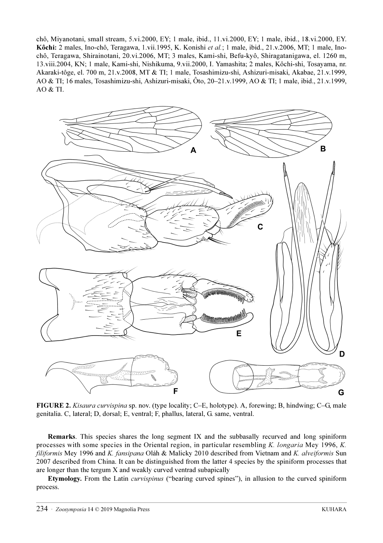chô, Miyanotani, small stream, 5.vi.2000, EY; 1 male, ibid., 11.vi.2000, EY; 1 male, ibid., 18.vi.2000, EY. Kôchi: 2 males, Ino-chô, Teragawa, 1.vii.1995, K. Konishi et al.; 1 male, ibid., 21.v.2006, MT; 1 male, Inochô, Teragawa, Shirainotani, 20.vi.2006, MT; 3 males, Kami-shi, Befu-kyô, Shiragatanigawa, el. 1260 m, 13.viii.2004, KN; 1 male, Kami-shi, Nishikuma, 9.vii.2000, I. Yamashita; 2 males, Kôchi-shi, Tosayama, nr. Akaraki-tôge, el. 700 m, 21.v.2008, MT & TI; 1 male, Tosashimizu-shi, Ashizuri-misaki, Akabae, 21.v.1999, AO & TI; 16 males, Tosashimizu-shi, Ashizuri-misaki, Ôto, 20–21.v.1999, AO & TI; 1 male, ibid., 21.v.1999,  $AO & TI$ .



FIGURE 2. Kisaura curvispina sp. nov. (type locality; C–E, holotype). A, forewing; B, hindwing; C–G, male genitalia. C, lateral; D, dorsal; E, ventral; F, phallus, lateral, G. same, ventral.

Remarks. This species shares the long segment IX and the subbasally recurved and long spiniform processes with some species in the Oriental region, in particular resembling K. longaria Mey 1996, K. filiformis Mey 1996 and K. fansipana Oláh & Malicky 2010 described from Vietnam and K. alveiformis Sun 2007 described from China. It can be distinguished from the latter 4 species by the spiniform processes that are longer than the tergum X and weakly curved ventrad subapically

Etymology. From the Latin curvispinus ("bearing curved spines"), in allusion to the curved spiniform process.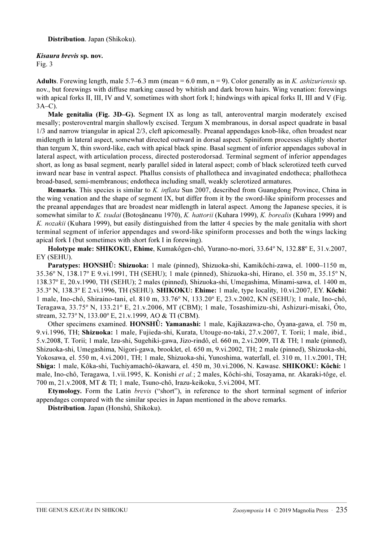#### Kisaura brevis sp. nov.

Fig. 3

Adults. Forewing length, male 5.7–6.3 mm (mean = 6.0 mm,  $n = 9$ ). Color generally as in *K. ashizuriensis* sp. nov., but forewings with diffuse marking caused by whitish and dark brown hairs. Wing venation: forewings with apical forks II, III, IV and V, sometimes with short fork I; hindwings with apical forks II, III and V (Fig. 3A–C).

Male genitalia (Fig. 3D–G). Segment IX as long as tall, anteroventral margin moderately excised mesally; posteroventral margin shallowly excised. Tergum X membranous, in dorsal aspect quadrate in basal 1/3 and narrow triangular in apical 2/3, cleft apicomesally. Preanal appendages knob-like, often broadest near midlength in lateral aspect, somewhat directed outward in dorsal aspect. Spiniform processes slightly shorter than tergum X, thin sword-like, each with apical black spine. Basal segment of inferior appendages suboval in lateral aspect, with articulation process, directed posterodorsad. Terminal segment of inferior appendages short, as long as basal segment, nearly parallel sided in lateral aspect; comb of black sclerotized teeth curved inward near base in ventral aspect. Phallus consists of phallotheca and invaginated endotheca; phallotheca broad-based, semi-membranous; endotheca including small, weakly sclerotized armatures.

Remarks. This species is similar to K. *inflata* Sun 2007, described from Guangdong Province, China in the wing venation and the shape of segment IX, but differ from it by the sword-like spiniform processes and the preanal appendages that are broadest near midlength in lateral aspect. Among the Japanese species, it is somewhat similar to K. tsudai (Botosǎneanu 1970), K. hattorii (Kuhara 1999), K. borealis (Kuhara 1999) and K. nozakii (Kuhara 1999), but easily distinguished from the latter 4 species by the male genitalia with short terminal segment of inferior appendages and sword-like spiniform processes and both the wings lacking apical fork I (but sometimes with short fork I in forewing).

Holotype male: SHIKOKU, Ehime, Kumakôgen-chô, Yurano-no-mori, 33.64º N, 132.88º E, 31.v.2007, EY (SEHU).

Paratypes: HONSHÛ: Shizuoka: 1 male (pinned), Shizuoka-shi, Kamikôchi-zawa, el. 1000–1150 m, 35.36º N, 138.17º E 9.vi.1991, TH (SEHU); 1 male (pinned), Shizuoka-shi, Hirano, el. 350 m, 35.15º N, 138.37º E, 20.v.1990, TH (SEHU); 2 males (pinned), Shizuoka-shi, Umegashima, Minami-sawa, el. 1400 m, 35.3º N, 138.3º E 2.vi.1996, TH (SEHU). SHIKOKU: Ehime: 1 male, type locality, 10.vi.2007, EY. Kôchi: 1 male, Ino-chô, Shiraino-tani, el. 810 m, 33.76º N, 133.20º E, 23.v.2002, KN (SEHU); 1 male, Ino-chô, Teragawa, 33.75º N, 133.21º E, 21.v.2006, MT (CBM); 1 male, Tosashimizu-shi, Ashizuri-misaki, Ôto, stream, 32.73º N, 133.00º E, 21.v.1999, AO & TI (CBM).

Other specimens examined. HONSHÛ: Yamanashi: 1 male, Kajikazawa-cho, Ôyana-gawa, el. 750 m, 9.vi.1996, TH; Shizuoka: 1 male, Fujieda-shi, Kurata, Utouge-no-taki, 27.v.2007, T. Torii; 1 male, ibid., 5.v.2008, T. Torii; 1 male, Izu-shi, Sugehiki-gawa, Jizo-rindô, el. 660 m, 2.vi.2009, TI & TH; 1 male (pinned), Shizuoka-shi, Umegashima, Nigori-gawa, brooklet, el. 650 m, 9.vi.2002, TH; 2 male (pinned), Shizuoka-shi, Yokosawa, el. 550 m, 4.vi.2001, TH; 1 male, Shizuoka-shi, Yunoshima, waterfall, el. 310 m, 11.v.2001, TH; Shiga: 1 male, Kôka-shi, Tuchiyamachô-ôkawara, el. 450 m, 30.vi.2006, N. Kawase. SHIKOKU: Kôchi: 1 male, Ino-chô, Teragawa, 1.vii.1995, K. Konishi et al.; 2 males, Kôchi-shi, Tosayama, nr. Akaraki-tôge, el. 700 m, 21.v.2008, MT & TI; 1 male, Tsuno-chô, Irazu-keikoku, 5.vi.2004, MT.

Etymology. Form the Latin brevis ("short"), in reference to the short terminal segment of inferior appendages compared with the similar species in Japan mentioned in the above remarks.

Distribution. Japan (Honshû, Shikoku).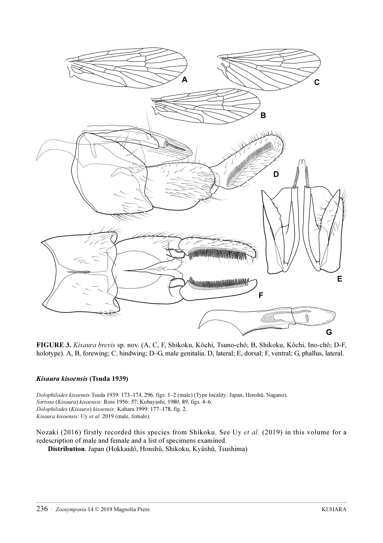

FIGURE 3. Kisaura brevis sp. nov. (A, C, F, Shikoku, Kôchi, Tsuno-chô; B, Shikoku, Kôchi, Ino-chô; D-F, holotype). A, B, forewing; C, hindwing; D–G, male genitalia. D, lateral; E, dorsal; F, ventral; G, phallus, lateral.

# Kisaura kisoensis (Tsuda 1939)

Dolophilodes kisoensis Tsuda 1939: 173–174, 296, figs. 1–2 (male) (Type locality: Japan, Honshû, Nagano). Sortosa (Kisaura) kisoensis: Ross 1956: 57; Kobayashi, 1980, 89, figs. 4–6. Dolophilodes (Kisaura) kisoensis: Kuhara 1999: 177–178, fig. 2. Kisaura kisoensis: Uy et al. 2019 (male, female).

Nozaki (2016) firstly recorded this species from Shikoku. See Uy et al. (2019) in this volume for a redescription of male and female and a list of specimens examined. Distribution. Japan (Hokkaidô, Honshû, Shikoku, Kyûshû, Tsushima)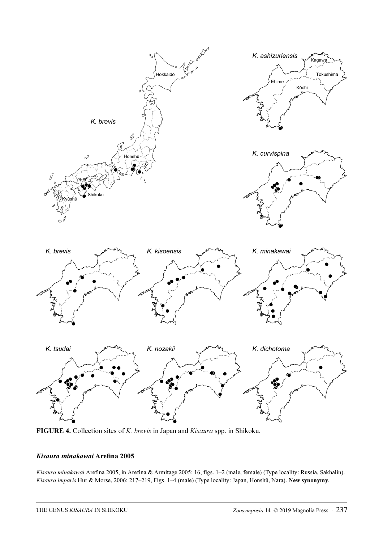

FIGURE 4. Collection sites of K. brevis in Japan and Kisaura spp. in Shikoku.

# Kisaura minakawai Arefina 2005

Kisaura minakawai Arefina 2005, in Arefina & Armitage 2005: 16, figs. 1–2 (male, female) (Type locality: Russia, Sakhalin). Kisaura imparis Hur & Morse, 2006: 217–219, Figs. 1–4 (male) (Type locality: Japan, Honshû, Nara). New synonymy.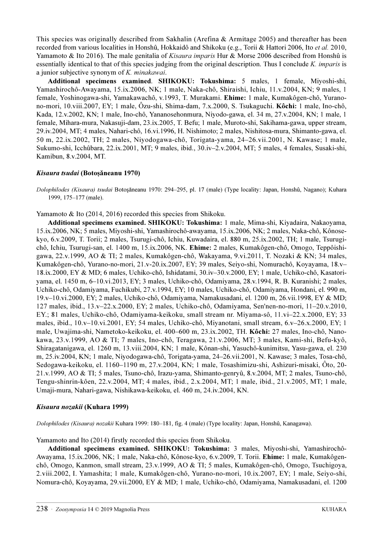This species was originally described from Sakhalin (Arefina & Armitage 2005) and thereafter has been recorded from various localities in Honshû, Hokkaidô and Shikoku (e.g., Torii & Hattori 2006, Ito et al. 2010, Yamamoto & Ito 2016). The male genitalia of *Kisaura imparis* Hur & Morse 2006 described from Honshû is essentially identical to that of this species judging from the original description. Thus I conclude K. imparis is a junior subjective synonym of K. minakawai.

Additional specimens examined. SHIKOKU: Tokushima: 5 males, 1 female, Miyoshi-shi, Yamashirochô-Awayama, 15.ix.2006, NK; 1 male, Naka-chô, Shiraishi, Ichiu, 11.v.2004, KN; 9 males, 1 female, Yoshinogawa-shi, Yamakawachô, v.1993, T. Murakami. Ehime: 1 male, Kumakôgen-chô, Yuranono-mori, 10.viii.2007, EY; 1 male, Ôzu-shi, Shima-dam, 7.x.2000, S. Tsukaguchi. Kôchi: 1 male, Ino-chô, Kada, 12.v.2002, KN; 1 male, Ino-chô, Yananosehonmura, Niyodo-gawa, el. 34 m, 27.v.2004, KN; 1 male, 1 female, Mihara-mura, Nakasuji-dam, 23.ix.2005, T. Befu; 1 male, Muroto-shi, Sakihama-gawa, upper stream, 29.iv.2004, MT; 4 males, Nahari-chô, 16.vi.1996, H. Nishimoto; 2 males, Nishitosa-mura, Shimanto-gawa, el. 50 m, 22.ix.2002, TH; 2 males, Niyodogawa-chô, Torigata-yama, 24–26.vii.2001, N. Kawase; 1 male, Sukumo-shi, Icchûbara, 22.ix.2001, MT; 9 males, ibid., 30.iv–2.v.2004, MT; 5 males, 4 females, Susaki-shi, Kamibun, 8.v.2004, MT.

# Kisaura tsudai (Botoşǎneanu 1970)

Dolophilodes (Kisaura) tsudai Botoşǎneanu 1970: 294–295, pl. 17 (male) (Type locality: Japan, Honshû, Nagano); Kuhara 1999, 175–177 (male).

Yamamoto & Ito (2014, 2016) recorded this species from Shikoku.

Additional specimens examined. SHIKOKU: Tokushima: 1 male, Mima-shi, Kiyadaira, Nakaoyama, 15.ix.2006, NK; 5 males, Miyoshi-shi, Yamashirochô-awayama, 15.ix.2006, NK; 2 males, Naka-chô, Kônosekyo, 6.v.2009, T. Torii; 2 males, Tsurugi-chô, Ichiu, Kuwadaira, el. 880 m, 25.ix.2002, TH; 1 male, Tsurugichô, Ichiu, Tsurugi-san, el. 1400 m, 15.ix.2006, NK. Ehime: 2 males, Kumakôgen-chô, Omogo, Teppôishigawa, 22.v.1999, AO & TI; 2 males, Kumakôgen-chô, Wakayama, 9.vi.2011, T. Nozaki & KN; 34 males, Kumakôgen-chô, Yurano-no-mori, 21.v-20.ix.2007, EY; 39 males, Seiyo-shi, Nomurachô, Koyayama, 18.v– 18.ix.2000, EY & MD; 6 males, Uchiko-chô, Ishidatami, 30.iv–30.v.2000, EY; 1 male, Uchiko-chô, Kasatoriyama, el. 1450 m, 6–10.vi.2013, EY; 3 males, Uchiko-chô, Odamiyama, 28.v.1994, R. B. Kuranishi; 2 males, Uchiko-chô, Odamiyama, Fuchikubi, 27.v.1994, EY; 10 males, Uchiko-chô, Odamiyama, Hondani, el. 990 m, 19.v–10.vi.2000, EY; 2 males, Uchiko-chô, Odamiyama, Namakusadani, el. 1200 m, 26.vii.1998, EY & MD; 127 males, ibid., 13.v–22.x.2000, EY; 2 males, Uchiko-chô, Odamiyama, Sen'nen-no-mori, 11–20.v.2010, EY.; 81 males, Uchiko-chô, Odamiyama-keikoku, small stream nr. Miyama-sô, 11.vi–22.x.2000, EY; 33 males, ibid., 10.v–10.vi.2001, EY; 54 males, Uchiko-chô, Miyanotani, small stream, 6.v–26.x.2000, EY; 1 male, Uwajima-shi, Nametoko-keikoku, el. 400–600 m, 23.ix.2002, TH. Kôchi: 27 males, Ino-chô, Nanokawa, 23.v.1999, AO & TI; 7 males, Ino-chô, Teragawa, 21.v.2006, MT; 3 males, Kami-shi, Befu-kyô, Shiragatanigawa, el. 1260 m, 13.viii.2004, KN; 1 male, Kônan-shi, Yasuchô-kunimitsu, Yasu-gawa, el. 230 m, 25.iv.2004, KN; 1 male, Niyodogawa-chô, Torigata-yama, 24–26.vii.2001, N. Kawase; 3 males, Tosa-chô, Sedogawa-keikoku, el. 1160–1190 m, 27.v.2004, KN; 1 male, Tosashimizu-shi, Ashizuri-misaki, Ôto, 20- 21.v.1999, AO & TI; 5 males, Tsuno-chô, Irazu-yama, Shimanto-genryû, 8.v.2004, MT; 2 males, Tsuno-chô, Tengu-shinrin-kôen, 22.v.2004, MT; 4 males, ibid., 2.x.2004, MT; 1 male, ibid., 21.v.2005, MT; 1 male, Umaji-mura, Nahari-gawa, Nishikawa-keikoku, el. 460 m, 24.iv.2004, KN.

#### Kisaura nozakii (Kuhara 1999)

Dolophilodes (Kisaura) nozakii Kuhara 1999: 180–181, fig. 4 (male) (Type locality: Japan, Honshû, Kanagawa).

Yamamoto and Ito (2014) firstly recorded this species from Shikoku.

Additional specimens examined. SHIKOKU: Tokushima: 3 males, Miyoshi-shi, Yamashirochô-Awayama, 15.ix.2006, NK; 1 male, Naka-chô, Kônose-kyo, 6.v.2009, T. Torii. Ehime: 1 male, Kumakôgenchô, Omogo, Kanmon, small stream, 23.v.1999, AO & TI; 5 males, Kumakôgen-chô, Omogo, Tsuchigoya, 2.viii.2002, I. Yamashita; 1 male, Kumakôgen-chô, Yurano-no-mori, 10.ix.2007, EY; 1 male, Seiyo-shi, Nomura-chô, Koyayama, 29.vii.2000, EY & MD; 1 male, Uchiko-chô, Odamiyama, Namakusadani, el. 1200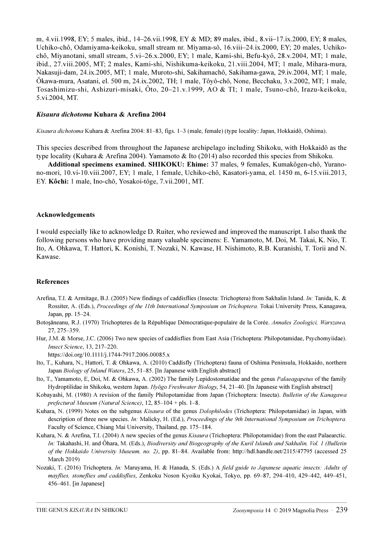m, 4.vii.1998, EY; 5 males, ibid., 14–26.vii.1998, EY & MD; 89 males, ibid., 8.vii–17.ix.2000, EY; 8 males, Uchiko-chô, Odamiyama-keikoku, small stream nr. Miyama-sô, 16.viii–24.ix.2000, EY; 20 males, Uchikochô, Miyanotani, small stream, 5.vi–26.x.2000, EY; 1 male, Kami-shi, Befu-kyô, 28.v.2004, MT; 1 male, ibid., 27.viii.2005, MT; 2 males, Kami-shi, Nishikuma-keikoku, 21.viii.2004, MT; 1 male, Mihara-mura, Nakasuji-dam, 24.ix.2005, MT; 1 male, Muroto-shi, Sakihamachô, Sakihama-gawa, 29.iv.2004, MT; 1 male, Ôkawa-mura, Asatani, el. 500 m, 24.ix.2002, TH; 1 male, Tôyô-chô, None, Becchaku, 3.v.2002, MT; 1 male, Tosashimizu-shi, Ashizuri-misaki, Ôto, 20–21.v.1999, AO & TI; 1 male, Tsuno-chô, Irazu-keikoku, 5.vi.2004, MT.

## Kisaura dichotoma Kuhara & Arefina 2004

Kisaura dichotoma Kuhara & Arefina 2004: 81–83, figs. 1–3 (male, female) (type locality: Japan, Hokkaidô, Oshima).

This species described from throughout the Japanese archipelago including Shikoku, with Hokkaidô as the type locality (Kuhara & Arefina 2004). Yamamoto & Ito (2014) also recorded this species from Shikoku.

Additional specimens examined. SHIKOKU: Ehime: 37 males, 9 females, Kumakôgen-chô, Yuranono-mori, 10.vi-10.viii.2007, EY; 1 male, 1 female, Uchiko-chô, Kasatori-yama, el. 1450 m, 6-15.viii.2013, EY. Kôchi: 1 male, Ino-chô, Yosakoi-tôge, 7.vii.2001, MT.

#### Acknowledgements

I would especially like to acknowledge D. Ruiter, who reviewed and improved the manuscript. I also thank the following persons who have providing many valuable specimens: E. Yamamoto, M. Doi, M. Takai, K. Nio, T. Ito, A. Ohkawa, T. Hattori, K. Konishi, T. Nozaki, N. Kawase, H. Nishimoto, R.B. Kuranishi, T. Torii and N. Kawase.

#### References

- Arefina, T.I. & Armitage, B.J. (2005) New findings of caddisflies (Insecta: Trichoptera) from Sakhalin Island. In: Tanida, K. & Rossiter, A. (Eds.), Proceedings of the 11th International Symposium on Trichoptera. Tokai University Press, Kanagawa, Japan, pp. 15–24.
- Botosǎneanu, R.J. (1970) Trichopteres de la République Démocratique-populaire de la Corée. Annales Zoologici, Warszawa, 27, 275–359.
- Hur, J.M. & Morse, J.C. (2006) Two new species of caddisflies from East Asia (Trichoptera: Philopotamidae, Psychomyiidae). Insect Science, 13, 217–220.
	- https://doi.org/10.1111/j.1744-7917.2006.00085.x
- Ito, T., Kuhara, N., Hattori, T. & Ohkawa, A. (2010) Caddisfly (Trichoptera) fauna of Oshima Peninsula, Hokkaido, northern Japan Biology of Inland Waters, 25, 51–85. [In Japanese with English abstract]
- Ito, T., Yamamoto, E, Doi, M. & Ohkawa, A. (2002) The family Lepidostomatidae and the genus *Palaeagapetus* of the family Hydroptilidae in Shikoku, western Japan. Hyōgo Freshwater Biology, 54, 21–40. [In Japanese with English abstract]
- Kobayashi, M. (1980) A revision of the family Philopotamidae from Japan (Trichoptera: Insecta). Bulletin of the Kanagawa prefectural Museum (Natural Science), 12, 85–104 + pls. 1–8.
- Kuhara, N. (1999) Notes on the subgenus *Kisaura* of the genus *Dolophilodes* (Trichoptera: Philopotamidae) in Japan, with description of three new species. In: Malicky, H. (Ed.), Proceedings of the 9th International Symposium on Trichoptera. Faculty of Science, Chiang Mai University, Thailand, pp. 175–184.
- Kuhara, N. & Arefina, T.I. (2004) A new species of the genus *Kisaura* (Trichoptera: Philopotamidae) from the east Palaearctic. In: Takahashi, H. and Ôhara, M. (Eds.), Biodiversity and Biogeography of the Kuril Islands and Sakhalin, Vol. 1 [\(Bulletin](http://eprints.lib.hokudai.ac.jp/dspace/handle/2115/34682) [of the Hokkaido University Museum](http://eprints.lib.hokudai.ac.jp/dspace/handle/2115/34682), no. 2), pp. 81–84. Available from: <http://hdl.handle.net/2115/47795> (accessed 25 March 2019)
- Nozaki, T. (2016) Trichoptera. In: Maruyama, H. & Hanada, S. (Eds.) A field guide to Japanese aquatic insects: Adults of mayflies, stoneflies and caddisflies, Zenkoku Noson Kyoiku Kyokai, Tokyo, pp. 69–87, 294–410, 429–442, 449–451, 456–461. [in Japanese]